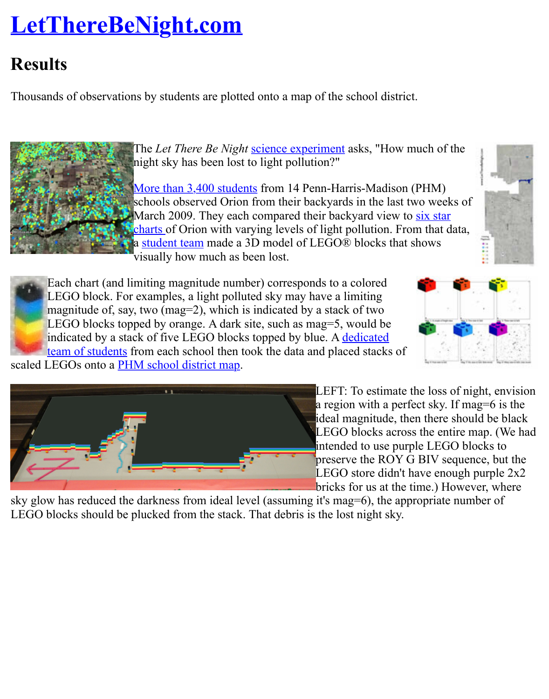Thousands of observations by students are plotted onto a map of the school district.



The *Let There Be Night* science experiment asks, "How much of the night sky has been lost to light pollution?"

More than 3,400 students from 14 Penn-Harris-Madison (PHM) schools observed Orion from their backyards in the last two weeks of March 2009. They each compared their backyard view to six star charts of Orion with varying levels of light pollution. From that data, a student team made a [3D model of LEGO®](http://www.lettherebenight.com/results.html#scientificmethod) blocks that shows visually how much as been lost.



Each chart (and l[imiting magnitude number](http://www.lettherebenight.com/phm-datamap-med.jpg)) corresponds to a colored LEGO block. For examples, a light polluted sky may have a limiting magnitude of, say, two (mag=2), which is indicated by a stack of two LEGO blocks top[ped by orange. A dark site, such as mag=5, would be](http://www.lettherebenight.com/PHM-6charts.pdf) indicated by a stac[k of five LEG](http://www.lettherebenight.com/team.html)O blocks topped by blue. A dedicated team of students from each school then took the data and placed stacks of scaled LEGOs onto a **PHM** school district map.





LEFT: To estimate the loss of  $\mathfrak n$ a region with a perfect sky. If r ideal magnitude, then there sho  $LEGO$  blocks across the entire intended to use purple LEGO b preserve the ROY G BIV seque LEGO store didn't have enough bricks for us at the time.) Howe

sky glow has reduced the darkness from ideal level (assuming it's mag=6), the appropriate nu LEGO blocks should be plucked from the stack. That debris is the lost night sky.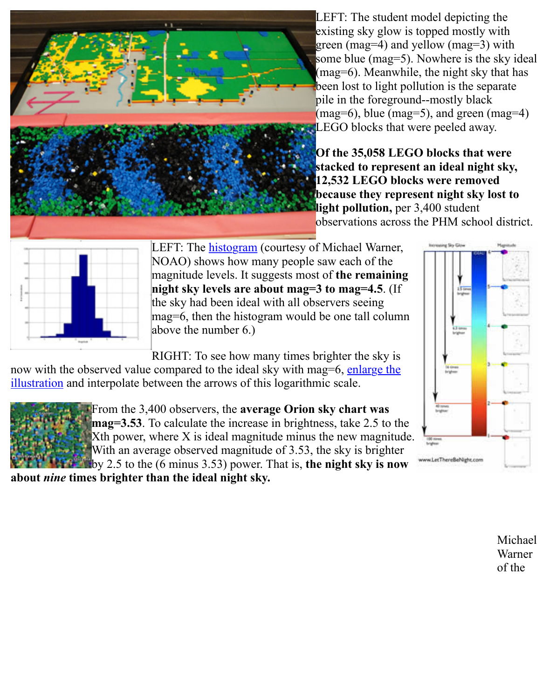pile in the foreground--mostly  $(mag=6)$ , blue  $(mag=5)$ , and gr  $\blacktriangle$  LEGO blocks that were peeled

**Of the 35,058 LEGO blocks that we have a little stage of the 35,058 LEGO blocks** stacked to represent an ideal **12,532 LEGO blocks were read because they represent night light pollution, per 3,400 student** observations across the PHM s



LEFT: The **histogram** (courtesy of Michael Warner, NOAO) shows how many people saw each of the magnitude levels. It suggests most of **the remaining night sky levels are about mag=3 to mag=4.5**. (If the sky had been ideal with all observers seeing mag=6, then the histogram would be one tall column above the n[umber 6.\)](http://www.lettherebenight.com/MW-histogram.jpg)

RIGHT: To see how many times brighter the sky is

now with the observed value compared to the ideal sky with mag=6, enlarge the illustration and interpolate between the arrows of this logarithmic scale.



From the 3,400 observers, the **average Orion sky chart was mag=3.53**. To calculate the increase in brightness, take 2.5 to the  $X$ th power, where  $X$  is ideal magnitude minus the new magnitude. With an average observed magnitude of 3.53, the sky is brighter [by 2.5 to the \(6 minus 3.53\) power. That is,](http://www.lettherebenight.com/brighter.jpg) **the night sky is now**

**about** *nine* **times brighter than the ideal night sky.**



u LetTherell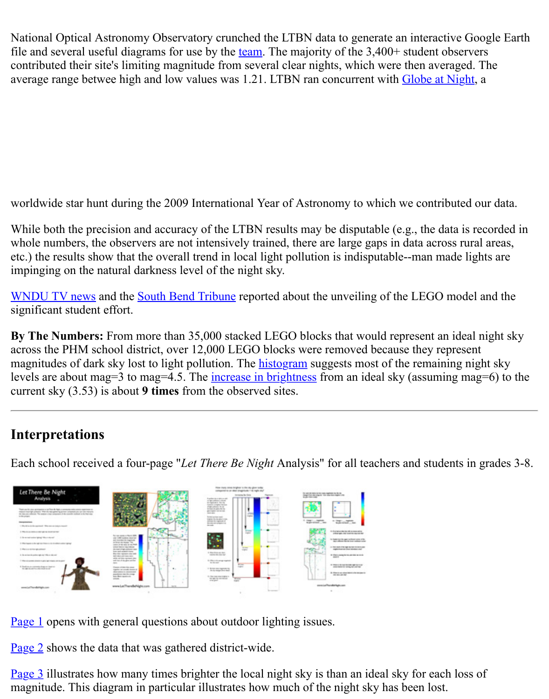worldwide star hunt during the 2009 International Year of Astronomy to which we contribute

While both the precision and accuracy of the LTBN results may be disputable (e.g., the data is whole numbers, the observers are not intensively trained, there are large gaps in data across rural etc.) the results show that the overall trend in local light pollution is indisputable--man made l impinging on the natural darkness level of the night sky.

WNDU TV news and the South Bend Tribune reported about the unveiling of the LEGO model. significant student effort.

**By The Numbers:** From more than 35,000 stacked LEGO blocks that would represent an ide across the PHM school district, over 12,000 LEGO blocks were removed because they repres magnitudes of dark sky lost to light pollution. The **histogram** suggests most of the remaining levels are about mag=3 to mag=4.5. The increase in brightness from an ideal sky (assuming n [current sky \(3.53\)](http://www.wndu.com/localnews/headlines/44758897.html#) is about **9 times** [from the ob](http://www.southbendtribune.com/apps/pbcs.dll/article?AID=/20090518/News01/905180327/1052/News01)served sites.

## **Interpretations**

Each school received a four-page "*Let There Be Night* [Analys](http://www.lettherebenight.com/MW-histogram.jpg)is" for all teachers and students



Page 1 opens with general questions a[bout outdoor lightin](http://www.lettherebenight.com/results-analysis3.pdf)g issues.

[Page 2 shows the d](http://www.lettherebenight.com/results-analysis1.pdf)[ata that was gathere](http://www.lettherebenight.com/results-analysis2.pdf)d district-wide.

<u>Page 3</u> illustrates how many times brighter the local nig[ht sky is than an ide](http://www.lettherebenight.com/results-analysis4.pdf)al sky for each los magnitude. This diagram in particular illustrates how much of the night sky has been lost.